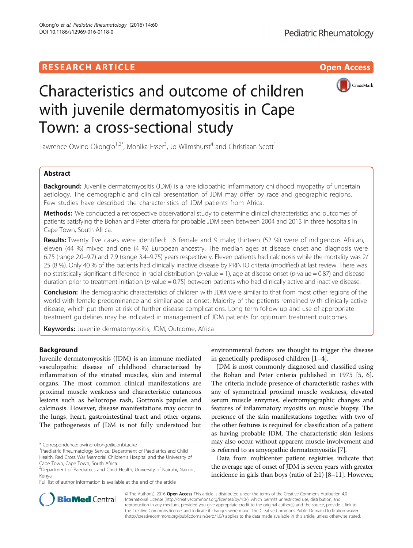# **RESEARCH ARTICLE Example 2018 12:00 Deep Access**



# Characteristics and outcome of children with juvenile dermatomyositis in Cape Town: a cross-sectional study

Lawrence Owino Okong'o<sup>1,2\*</sup>, Monika Esser<sup>3</sup>, Jo Wilmshurst<sup>4</sup> and Christiaan Scott<sup>1</sup>

# Abstract

Background: Juvenile dermatomyositis (JDM) is a rare idiopathic inflammatory childhood myopathy of uncertain aetiology. The demographic and clinical presentation of JDM may differ by race and geographic regions. Few studies have described the characteristics of JDM patients from Africa.

Methods: We conducted a retrospective observational study to determine clinical characteristics and outcomes of patients satisfying the Bohan and Peter criteria for probable JDM seen between 2004 and 2013 in three hospitals in Cape Town, South Africa.

Results: Twenty five cases were identified: 16 female and 9 male; thirteen (52 %) were of indigenous African, eleven (44 %) mixed and one (4 %) European ancestry. The median ages at disease onset and diagnosis were 6.75 (range 2.0–9.7) and 7.9 (range 3.4–9.75) years respectively. Eleven patients had calcinosis while the mortality was 2/ 25 (8 %). Only 40 % of the patients had clinically inactive disease by PRINTO criteria (modified) at last review. There was no statistically significant difference in racial distribution (p-value  $= 1$ ), age at disease onset (p-value  $= 0.87$ ) and disease duration prior to treatment initiation ( $p$ -value = 0.75) between patients who had clinically active and inactive disease.

Conclusion: The demographic characteristics of children with JDM were similar to that from most other regions of the world with female predominance and similar age at onset. Majority of the patients remained with clinically active disease, which put them at risk of further disease complications. Long term follow up and use of appropriate treatment guidelines may be indicated in management of JDM patients for optimum treatment outcomes.

Keywords: Juvenile dermatomyositis, JDM, Outcome, Africa

# Background

Juvenile dermatomyositis (JDM) is an immune mediated vasculopathic disease of childhood characterized by inflammation of the striated muscles, skin and internal organs. The most common clinical manifestations are proximal muscle weakness and characteristic cutaneous lesions such as heliotrope rash, Gottron's papules and calcinosis. However, disease manifestations may occur in the lungs, heart, gastrointestinal tract and other organs. The pathogenesis of JDM is not fully understood but

Full list of author information is available at the end of the article

environmental factors are thought to trigger the disease in genetically predisposed children [[1](#page-6-0)–[4](#page-6-0)].

JDM is most commonly diagnosed and classified using the Bohan and Peter criteria published in 1975 [[5, 6](#page-6-0)]. The criteria include presence of characteristic rashes with any of symmetrical proximal muscle weakness, elevated serum muscle enzymes, electromyographic changes and features of inflammatory myositis on muscle biopsy. The presence of the skin manifestations together with two of the other features is required for classification of a patient as having probable JDM. The characteristic skin lesions may also occur without apparent muscle involvement and is referred to as amyopathic dermatomyositis [\[7](#page-6-0)].

Data from multicenter patient registries indicate that the average age of onset of JDM is seven years with greater incidence in girls than boys (ratio of 2:1) [\[8](#page-7-0)–[11](#page-7-0)]. However,



© The Author(s). 2016 Open Access This article is distributed under the terms of the Creative Commons Attribution 4.0 International License [\(http://creativecommons.org/licenses/by/4.0/](http://creativecommons.org/licenses/by/4.0/)), which permits unrestricted use, distribution, and reproduction in any medium, provided you give appropriate credit to the original author(s) and the source, provide a link to the Creative Commons license, and indicate if changes were made. The Creative Commons Public Domain Dedication waiver [\(http://creativecommons.org/publicdomain/zero/1.0/](http://creativecommons.org/publicdomain/zero/1.0/)) applies to the data made available in this article, unless otherwise stated.

<sup>\*</sup> Correspondence: [owino-okongo@uonbi.ac.ke](mailto:owino-okongo@uonbi.ac.ke) <sup>1</sup>

<sup>&</sup>lt;sup>1</sup> Paediatric Rheumatology Service, Department of Paediatrics and Child Health, Red Cross War Memorial Children's Hospital and the University of Cape Town, Cape Town, South Africa

<sup>&</sup>lt;sup>2</sup> Department of Paediatrics and Child Health, University of Nairobi, Nairobi, Kenya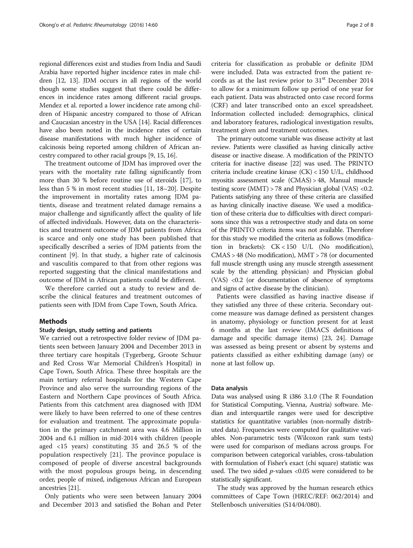regional differences exist and studies from India and Saudi Arabia have reported higher incidence rates in male children [\[12, 13\]](#page-7-0). JDM occurs in all regions of the world though some studies suggest that there could be differences in incidence rates among different racial groups. Mendez et al. reported a lower incidence rate among children of Hispanic ancestry compared to those of African and Caucasian ancestry in the USA [\[14](#page-7-0)]. Racial differences have also been noted in the incidence rates of certain disease manifestations with much higher incidence of calcinosis being reported among children of African ancestry compared to other racial groups [[9, 15, 16](#page-7-0)].

The treatment outcome of JDM has improved over the years with the mortality rate falling significantly from more than 30 % before routine use of steroids [[17\]](#page-7-0), to less than 5 % in most recent studies [[11, 18](#page-7-0)–[20](#page-7-0)]. Despite the improvement in mortality rates among JDM patients, disease and treatment related damage remains a major challenge and significantly affect the quality of life of affected individuals. However, data on the characteristics and treatment outcome of JDM patients from Africa is scarce and only one study has been published that specifically described a series of JDM patients from the continent [\[9](#page-7-0)]. In that study, a higher rate of calcinosis and vasculitis compared to that from other regions was reported suggesting that the clinical manifestations and outcome of JDM in African patients could be different.

We therefore carried out a study to review and describe the clinical features and treatment outcomes of patients seen with JDM from Cape Town, South Africa.

# Methods

# Study design, study setting and patients

We carried out a retrospective folder review of JDM patients seen between January 2004 and December 2013 in three tertiary care hospitals (Tygerberg, Groote Schuur and Red Cross War Memorial Children's Hospital) in Cape Town, South Africa. These three hospitals are the main tertiary referral hospitals for the Western Cape Province and also serve the surrounding regions of the Eastern and Northern Cape provinces of South Africa. Patients from this catchment area diagnosed with JDM were likely to have been referred to one of these centres for evaluation and treatment. The approximate population in the primary catchment area was 4.6 Million in 2004 and 6.1 million in mid-2014 with children (people aged <15 years) constituting 35 and 26.5 % of the population respectively [[21\]](#page-7-0). The province populace is composed of people of diverse ancestral backgrounds with the most populous groups being, in descending order, people of mixed, indigenous African and European ancestries [\[21](#page-7-0)].

Only patients who were seen between January 2004 and December 2013 and satisfied the Bohan and Peter criteria for classification as probable or definite JDM were included. Data was extracted from the patient records as at the last review prior to  $31<sup>st</sup>$  December 2014 to allow for a minimum follow up period of one year for each patient. Data was abstracted onto case record forms (CRF) and later transcribed onto an excel spreadsheet. Information collected included: demographics, clinical and laboratory features, radiological investigation results, treatment given and treatment outcomes.

The primary outcome variable was disease activity at last review. Patients were classified as having clinically active disease or inactive disease. A modification of the PRINTO criteria for inactive disease [\[22](#page-7-0)] was used. The PRINTO criteria include creatine kinase (CK) < 150 U/L, childhood myositis assessment scale (CMAS) > 48, Manual muscle testing score (MMT) > 78 and Physician global (VAS) <0.2. Patients satisfying any three of these criteria are classified as having clinically inactive disease. We used a modification of these criteria due to difficulties with direct comparisons since this was a retrospective study and data on some of the PRINTO criteria items was not available. Therefore for this study we modified the criteria as follows (modification in brackets): CK < 150 U/L (No modification), CMAS > 48 (No modification), MMT > 78 (or documented full muscle strength using any muscle strength assessment scale by the attending physician) and Physician global (VAS) <0.2 (or documentation of absence of symptoms and signs of active disease by the clinician).

Patients were classified as having inactive disease if they satisfied any three of these criteria. Secondary outcome measure was damage defined as persistent changes in anatomy, physiology or function present for at least 6 months at the last review (IMACS definitions of damage and specific damage items) [[23](#page-7-0), [24\]](#page-7-0). Damage was assessed as being present or absent by systems and patients classified as either exhibiting damage (any) or none at last follow up.

#### Data analysis

Data was analysed using R i386 3.1.0 (The R Foundation for Statistical Computing, Vienna, Austria) software. Median and interquartile ranges were used for descriptive statistics for quantitative variables (non-normally distributed data). Frequencies were computed for qualitative variables. Non-parametric tests (Wilcoxon rank sum tests) were used for comparison of medians across groups. For comparison between categorical variables, cross-tabulation with formulation of Fisher's exact (chi square) statistic was used. The two sided  $p$ -values <0.05 were considered to be statistically significant.

The study was approved by the human research ethics committees of Cape Town (HREC/REF: 062/2014) and Stellenbosch universities (S14/04/080).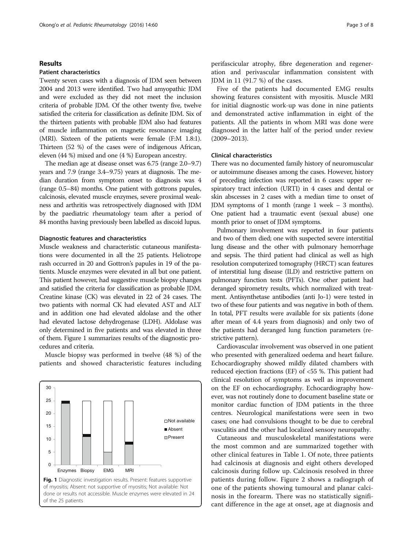# Results

#### Patient characteristics

Twenty seven cases with a diagnosis of JDM seen between 2004 and 2013 were identified. Two had amyopathic JDM and were excluded as they did not meet the inclusion criteria of probable JDM. Of the other twenty five, twelve satisfied the criteria for classification as definite JDM. Six of the thirteen patients with probable JDM also had features of muscle inflammation on magnetic resonance imaging (MRI). Sixteen of the patients were female (F:M 1.8:1). Thirteen (52 %) of the cases were of indigenous African, eleven (44 %) mixed and one (4 %) European ancestry.

The median age at disease onset was 6.75 (range 2.0–9.7) years and 7.9 (range 3.4–9.75) years at diagnosis. The median duration from symptom onset to diagnosis was 4 (range 0.5–84) months. One patient with gottrons papules, calcinosis, elevated muscle enzymes, severe proximal weakness and arthritis was retrospectively diagnosed with JDM by the paediatric rheumatology team after a period of 84 months having previously been labelled as discoid lupus.

# Diagnostic features and characteristics

Muscle weakness and characteristic cutaneous manifestations were documented in all the 25 patients. Heliotrope rash occurred in 20 and Gottron's papules in 19 of the patients. Muscle enzymes were elevated in all but one patient. This patient however, had suggestive muscle biopsy changes and satisfied the criteria for classification as probable JDM. Creatine kinase (CK) was elevated in 22 of 24 cases. The two patients with normal CK had elevated AST and ALT and in addition one had elevated aldolase and the other had elevated lactose dehydrogenase (LDH). Aldolase was only determined in five patients and was elevated in three of them. Figure 1 summarizes results of the diagnostic procedures and criteria.

Muscle biopsy was performed in twelve (48 %) of the patients and showed characteristic features including



perifascicular atrophy, fibre degeneration and regeneration and perivascular inflammation consistent with JDM in 11 (91.7 %) of the cases.

Five of the patients had documented EMG results showing features consistent with myositis. Muscle MRI for initial diagnostic work-up was done in nine patients and demonstrated active inflammation in eight of the patients. All the patients in whom MRI was done were diagnosed in the latter half of the period under review (2009–2013).

# Clinical characteristics

There was no documented family history of neuromuscular or autoimmune diseases among the cases. However, history of preceding infection was reported in 6 cases: upper respiratory tract infection (URTI) in 4 cases and dental or skin abscesses in 2 cases with a median time to onset of JDM symptoms of 1 month (range 1 week – 3 months). One patient had a traumatic event (sexual abuse) one month prior to onset of JDM symptoms.

Pulmonary involvement was reported in four patients and two of them died; one with suspected severe interstitial lung disease and the other with pulmonary hemorrhage and sepsis. The third patient had clinical as well as high resolution computerized tomography (HRCT) scan features of interstitial lung disease (ILD) and restrictive pattern on pulmonary function tests (PFTs). One other patient had deranged spirometry results, which normalized with treatment. Antisynthetase antibodies (anti Jo-1) were tested in two of these four patients and was negative in both of them. In total, PFT results were available for six patients (done after mean of 4.4 years from diagnosis) and only two of the patients had deranged lung function parameters (restrictive pattern).

Cardiovascular involvement was observed in one patient who presented with generalized oedema and heart failure. Echocardiography showed mildly dilated chambers with reduced ejection fractions (EF) of <55 %. This patient had clinical resolution of symptoms as well as improvement on the EF on echocardiography. Echocardiography however, was not routinely done to document baseline state or monitor cardiac function of JDM patients in the three centres. Neurological manifestations were seen in two cases; one had convulsions thought to be due to cerebral vasculitis and the other had localized sensory neuropathy.

Cutaneous and musculoskeletal manifestations were the most common and are summarized together with other clinical features in Table [1](#page-3-0). Of note, three patients had calcinosis at diagnosis and eight others developed calcinosis during follow up. Calcinosis resolved in three patients during follow. Figure [2](#page-3-0) shows a radiograph of one of the patients showing tumoural and planar calcinosis in the forearm. There was no statistically significant difference in the age at onset, age at diagnosis and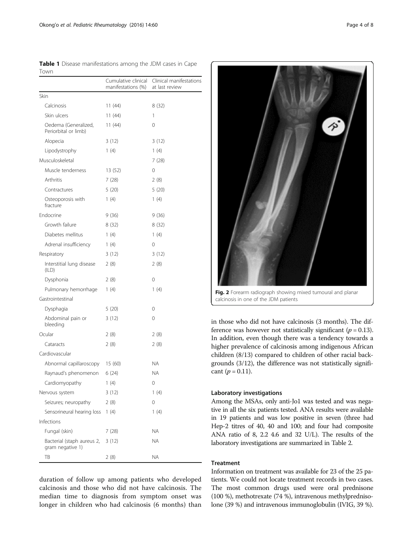| TOWN                                           |                                           |                                           |
|------------------------------------------------|-------------------------------------------|-------------------------------------------|
|                                                | Cumulative clinical<br>manifestations (%) | Clinical manifestations<br>at last review |
| Skin                                           |                                           |                                           |
| Calcinosis                                     | 11(44)                                    | 8 (32)                                    |
| Skin ulcers                                    | 11(44)                                    | 1                                         |
| Oedema (Generalized,<br>Periorbital or limb)   | 11(44)                                    | 0                                         |
| Alopecia                                       | 3(12)                                     | 3(12)                                     |
| Lipodystrophy                                  | 1(4)                                      | 1(4)                                      |
| Musculoskeletal                                |                                           | 7(28)                                     |
| Muscle tenderness                              | 13 (52)                                   | 0                                         |
| Arthritis                                      | 7(28)                                     | 2(8)                                      |
| Contractures                                   | 5(20)                                     | 5(20)                                     |
| Osteoporosis with<br>fracture                  | 1(4)                                      | 1(4)                                      |
| Endocrine                                      | 9(36)                                     | 9 (36)                                    |
| Growth failure                                 | 8 (32)                                    | 8 (32)                                    |
| Diabetes mellitus                              | 1(4)                                      | 1(4)                                      |
| Adrenal insufficiency                          | 1(4)                                      | 0                                         |
| Respiratory                                    | 3(12)                                     | 3(12)                                     |
| Interstitial lung disease<br>(ILD)             | 2(8)                                      | 2(8)                                      |
| Dysphonia                                      | 2(8)                                      | 0                                         |
| Pulmonary hemorrhage                           | 1(4)                                      | 1(4)                                      |
| Gastrointestinal                               |                                           |                                           |
| Dysphagia                                      | 5(20)                                     | 0                                         |
| Abdominal pain or<br>bleeding                  | 3 (12)                                    | 0                                         |
| Ocular                                         | 2(8)                                      | 2(8)                                      |
| Cataracts                                      | 2(8)                                      | 2 (8)                                     |
| Cardiovascular                                 |                                           |                                           |
| Abnormal capillaroscopy                        | 15 (60)                                   | <b>NA</b>                                 |
| Raynaud's phenomenon                           | 6(24)                                     | ΝA                                        |
| Cardiomyopathy                                 | 1(4)                                      | 0                                         |
| Nervous system                                 | 3(12)                                     | 1(4)                                      |
| Seizures; neuropathy                           | 2(8)                                      | 0                                         |
| Sensorineural hearing loss                     | 1(4)                                      | 1(4)                                      |
| Infections                                     |                                           |                                           |
| Fungal (skin)                                  | 7(28)                                     | ΝA                                        |
| Bacterial (staph aureus 2,<br>gram negative 1) | 3(12)                                     | ΝA                                        |
| TB                                             | 2(8)                                      | ΝA                                        |

<span id="page-3-0"></span>

|      | Table 1 Disease manifestations among the JDM cases in Cape |  |  |  |
|------|------------------------------------------------------------|--|--|--|
| Town |                                                            |  |  |  |

duration of follow up among patients who developed calcinosis and those who did not have calcinosis. The median time to diagnosis from symptom onset was longer in children who had calcinosis (6 months) than



calcinosis in one of the JDM patients

in those who did not have calcinosis (3 months). The difference was however not statistically significant ( $p = 0.13$ ). In addition, even though there was a tendency towards a higher prevalence of calcinosis among indigenous African children (8/13) compared to children of other racial backgrounds (3/12), the difference was not statistically significant ( $p = 0.11$ ).

# Laboratory investigations

Among the MSAs, only anti-Jo1 was tested and was negative in all the six patients tested. ANA results were available in 19 patients and was low positive in seven (three had Hep-2 titres of 40, 40 and 100; and four had composite ANA ratio of 8, 2.2 4.6 and 32 U/L). The results of the laboratory investigations are summarized in Table [2.](#page-4-0)

# Treatment

Information on treatment was available for 23 of the 25 patients. We could not locate treatment records in two cases. The most common drugs used were oral prednisone (100 %), methotrexate (74 %), intravenous methylprednisolone (39 %) and intravenous immunoglobulin (IVIG, 39 %).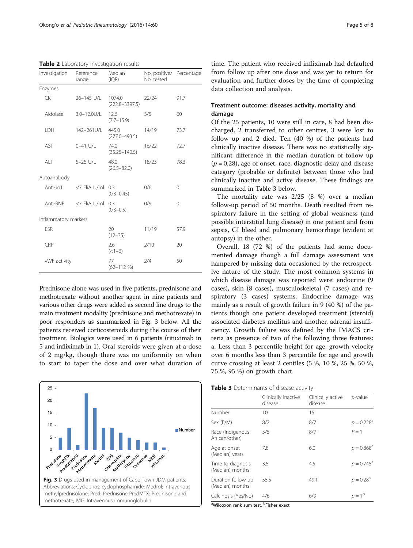<span id="page-4-0"></span>Table 2 Laboratory investigation results

| Investigation        | Reference<br>range | Median<br>(IQR)              | No. positive/ Percentage<br>No. tested |          |
|----------------------|--------------------|------------------------------|----------------------------------------|----------|
| Enzymes              |                    |                              |                                        |          |
| СK                   | 26-145 U/L         | 1074.0<br>$(222.8 - 3397.5)$ | 22/24                                  | 91.7     |
| Aldolase             | 3.0-12.0U/L        | 12.6<br>$(7.7 - 15.9)$       | 3/5                                    | 60       |
| LDH                  | 142-261U/L         | 445.0<br>$(277.0 - 493.5)$   | 14/19                                  | 73.7     |
| AST                  | $0 - 41$ U/L       | 74.0<br>$(35.25 - 140.5)$    | 16/22                                  | 72.7     |
| ALT                  | 5-25 U/L           | 48.0<br>$(26.5 - 82.0)$      | 18/23                                  | 78.3     |
| Autoantibody         |                    |                              |                                        |          |
| Anti-Jo1             | <7 EliA U/ml       | 0.3<br>$(0.3 - 0.45)$        | 0/6                                    | 0        |
| Anti-RNP             | <7 EliA U/ml       | 0.3<br>$(0.3 - 0.5)$         | 0/9                                    | $\Omega$ |
| Inflammatory markers |                    |                              |                                        |          |
| <b>ESR</b>           |                    | 20<br>$(12 - 35)$            | 11/19                                  | 57.9     |
| CRP                  |                    | 2.6<br>$(<1-6)$              | 2/10                                   | 20       |
| vWF activity         |                    | 77<br>$(62 - 112 \%)$        | 2/4                                    | 50       |

Prednisone alone was used in five patients, prednisone and methotrexate without another agent in nine patients and various other drugs were added as second line drugs to the main treatment modality (prednisone and methotrexate) in poor responders as summarized in Fig. 3 below. All the patients received corticosteroids during the course of their treatment. Biologics were used in 6 patients (rituximab in 5 and infliximab in 1). Oral steroids were given at a dose of 2 mg/kg, though there was no uniformity on when to start to taper the dose and over what duration of



time. The patient who received infliximab had defaulted from follow up after one dose and was yet to return for evaluation and further doses by the time of completing data collection and analysis.

# Treatment outcome: diseases activity, mortality and damage

Of the 25 patients, 10 were still in care, 8 had been discharged, 2 transferred to other centres, 3 were lost to follow up and 2 died. Ten (40 %) of the patients had clinically inactive disease. There was no statistically significant difference in the median duration of follow up  $(p = 0.28)$ , age of onset, race, diagnostic delay and disease category (probable or definite) between those who had clinically inactive and active disease. These findings are summarized in Table 3 below.

The mortality rate was 2/25 (8 %) over a median follow-up period of 50 months. Death resulted from respiratory failure in the setting of global weakness (and possible interstitial lung disease) in one patient and from sepsis, GI bleed and pulmonary hemorrhage (evident at autopsy) in the other.

Overall, 18 (72 %) of the patients had some documented damage though a full damage assessment was hampered by missing data occasioned by the retrospective nature of the study. The most common systems in which disease damage was reported were: endocrine (9 cases), skin (8 cases), musculoskeletal (7 cases) and respiratory (3 cases) systems. Endocrine damage was mainly as a result of growth failure in 9 (40 %) of the patients though one patient developed treatment (steroid) associated diabetes mellitus and another, adrenal insufficiency. Growth failure was defined by the IMACS criteria as presence of two of the following three features: a. Less than 3 percentile height for age, growth velocity over 6 months less than 3 percentile for age and growth curve crossing at least 2 centiles (5 %, 10 %, 25 %, 50 %, 75 %, 95 %) on growth chart.

|  | Table 3 Determinants of disease activity |  |  |
|--|------------------------------------------|--|--|
|--|------------------------------------------|--|--|

|                                       | Clinically inactive<br>disease | Clinically active<br>disease | p-value                  |  |
|---------------------------------------|--------------------------------|------------------------------|--------------------------|--|
| Number                                | 10                             | 15                           |                          |  |
| Sex (F/M)                             | 8/2                            | 8/7                          | $p = 0.228$ <sup>a</sup> |  |
| Race (Indigenous<br>African/other)    | 5/5                            | 8/7                          | $P=1$                    |  |
| Age at onset<br>(Median) years        | 7.8                            | 6.0                          | $p = 0.868^a$            |  |
| Time to diagnosis<br>(Median) months  | 3.5                            | 4.5                          | $p = 0.745^{\circ}$      |  |
| Duration follow up<br>(Median) months | 55.5                           | 49.1                         | $p = 0.28^a$             |  |
| Calcinosis (Yes/No)                   | 4/6                            | 6/9                          | $p = 1b$                 |  |

<sup>a</sup>Wilcoxon rank sum test, <sup>b</sup>Fisher exact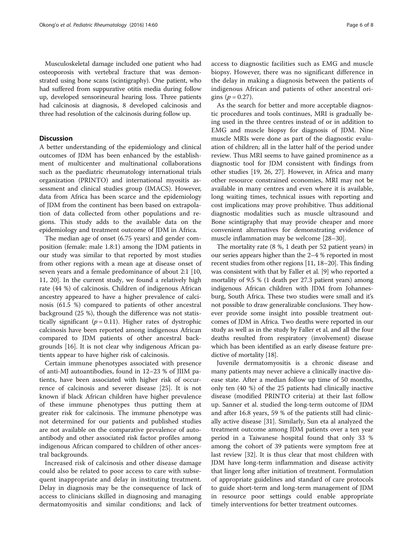Musculoskeletal damage included one patient who had osteoporosis with vertebral fracture that was demonstrated using bone scans (scintigraphy). One patient, who had suffered from suppurative otitis media during follow up, developed sensorineural hearing loss. Three patients had calcinosis at diagnosis, 8 developed calcinosis and three had resolution of the calcinosis during follow up.

# **Discussion**

A better understanding of the epidemiology and clinical outcomes of JDM has been enhanced by the establishment of multicenter and multinational collaborations such as the paediatric rheumatology international trials organization (PRINTO) and international myositis assessment and clinical studies group (IMACS). However, data from Africa has been scarce and the epidemiology of JDM from the continent has been based on extrapolation of data collected from other populations and regions. This study adds to the available data on the epidemiology and treatment outcome of JDM in Africa.

The median age of onset (6.75 years) and gender composition (female: male 1.8:1) among the JDM patients in our study was similar to that reported by most studies from other regions with a mean age at disease onset of seven years and a female predominance of about 2:1 [[10](#page-7-0), [11, 20](#page-7-0)]. In the current study, we found a relatively high rate (44 %) of calcinosis. Children of indigenous African ancestry appeared to have a higher prevalence of calcinosis (61.5 %) compared to patients of other ancestral background (25 %), though the difference was not statistically significant ( $p = 0.11$ ). Higher rates of dystrophic calcinosis have been reported among indigenous African compared to JDM patients of other ancestral backgrounds [[16](#page-7-0)]. It is not clear why indigenous African patients appear to have higher risk of calcinosis.

Certain immune phenotypes associated with presence of anti-MJ autoantibodies, found in 12–23 % of JIIM patients, have been associated with higher risk of occurrence of calcinosis and severer disease [\[25\]](#page-7-0). It is not known if black African children have higher prevalence of these immune phenotypes thus putting them at greater risk for calcinosis. The immune phenotype was not determined for our patients and published studies are not available on the comparative prevalence of autoantibody and other associated risk factor profiles among indigenous African compared to children of other ancestral backgrounds.

Increased risk of calcinosis and other disease damage could also be related to poor access to care with subsequent inappropriate and delay in instituting treatment. Delay in diagnosis may be the consequence of lack of access to clinicians skilled in diagnosing and managing dermatomyositis and similar conditions; and lack of access to diagnostic facilities such as EMG and muscle biopsy. However, there was no significant difference in the delay in making a diagnosis between the patients of indigenous African and patients of other ancestral origins ( $p = 0.27$ ).

As the search for better and more acceptable diagnostic procedures and tools continues, MRI is gradually being used in the three centres instead of or in addition to EMG and muscle biopsy for diagnosis of JDM. Nine muscle MRIs were done as part of the diagnostic evaluation of children; all in the latter half of the period under review. Thus MRI seems to have gained prominence as a diagnostic tool for JDM consistent with findings from other studies [\[19, 26, 27](#page-7-0)]. However, in Africa and many other resource constrained economies, MRI may not be available in many centres and even where it is available, long waiting times, technical issues with reporting and cost implications may prove prohibitive. Thus additional diagnostic modalities such as muscle ultrasound and Bone scintigraphy that may provide cheaper and more convenient alternatives for demonstrating evidence of muscle inflammation may be welcome [\[28](#page-7-0)–[30\]](#page-7-0).

The mortality rate (8 %, 1 death per 52 patient years) in our series appears higher than the 2–4 % reported in most recent studies from other regions [\[11, 18](#page-7-0)–[20](#page-7-0)]. This finding was consistent with that by Faller et al. [[9](#page-7-0)] who reported a mortality of 9.5 % (1 death per 27.3 patient years) among indigenous African children with JDM from Johannesburg, South Africa. These two studies were small and it's not possible to draw generalizable conclusions. They however provide some insight into possible treatment outcomes of JDM in Africa. Two deaths were reported in our study as well as in the study by Faller et al. and all the four deaths resulted from respiratory (involvement) disease which has been identified as an early disease feature predictive of mortality [\[18\]](#page-7-0).

Juvenile dermatomyositis is a chronic disease and many patients may never achieve a clinically inactive disease state. After a median follow up time of 50 months, only ten (40 %) of the 25 patients had clinically inactive disease (modified PRINTO criteria) at their last follow up. Sanner et al. studied the long-term outcome of JDM and after 16.8 years, 59 % of the patients still had clinically active disease [\[31](#page-7-0)]. Similarly, Sun eta al analyzed the treatment outcome among JDM patients over a ten year period in a Taiwanese hospital found that only 33 % among the cohort of 39 patients were symptom free at last review [[32\]](#page-7-0). It is thus clear that most children with JDM have long-term inflammation and disease activity that linger long after initiation of treatment. Formulation of appropriate guidelines and standard of care protocols to guide short-term and long-term management of JDM in resource poor settings could enable appropriate timely interventions for better treatment outcomes.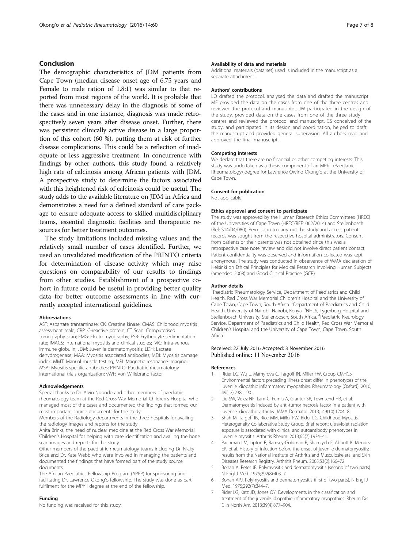# <span id="page-6-0"></span>Conclusion

The demographic characteristics of JDM patients from Cape Town (median disease onset age of 6.75 years and Female to male ration of 1.8:1) was similar to that reported from most regions of the world. It is probable that there was unnecessary delay in the diagnosis of some of the cases and in one instance, diagnosis was made retrospectively seven years after disease onset. Further, there was persistent clinically active disease in a large proportion of this cohort (60 %), putting them at risk of further disease complications. This could be a reflection of inadequate or less aggressive treatment. In concurrence with findings by other authors, this study found a relatively high rate of calcinosis among African patients with JDM. A prospective study to determine the factors associated with this heightened risk of calcinosis could be useful. The study adds to the available literature on JDM in Africa and demonstrates a need for a defined standard of care package to ensure adequate access to skilled multidisciplinary teams, essential diagnostic facilities and therapeutic resources for better treatment outcomes.

The study limitations included missing values and the relatively small number of cases identified. Further, we used an unvalidated modification of the PRINTO criteria for determination of disease activity which may raise questions on comparability of our results to findings from other studies. Establishment of a prospective cohort in future could be useful in providing better quality data for better outcome assessments in line with currently accepted international guidelines.

#### Abbreviations

AST: Aspartate transaminase; CK: Creatine kinase; CMAS: Childhood myositis assessment scale; CRP: C-reactive protein; CT Scan: Computerised tomography scan; EMG: Electromyography; ESR: Erythrocyte sedimentation rate; IMACS: International myositis and clinical studies; IVIG: Intra-venous immune globulin; JDM: Juvenile dermatomyositis; LDH: Lactate dehydrogenase; MAA: Myositis associated antibodies; MDI: Myositis damage index; MMT: Manual muscle testing; MRI: Magnetic resonance imaging; MSA: Myositis specific antibodies; PRINTO: Paediatric rheumatology international trials organization; vWF: Von Willebrand factor

#### Acknowledgements

Special thanks to Dr. Alvin Ndondo and other members of paediatric rheumatology team at the Red Cross War Memorial Children's Hospital who managed most of the cases and documented the findings that formed our most important source documents for the study.

Members of the Radiology departments in the three hospitals for availing the radiology images and reports for the study.

Anita Brinks, the head of nuclear medicine at the Red Cross War Memorial Children's Hospital for helping with case identification and availing the bone scan images and reports for the study.

Other members of the paediatric rheumatology teams including Dr. Nicky Brice and Dr. Kate Webb who were involved in managing the patients and documented the findings that have formed part of the study source documents.

The African Paediatrics Fellowship Program (APFP) for sponsoring and facilitating Dr. Lawrence Okong'o fellowship. The study was done as part fulfilment for the MPhil degree at the end of the fellowship.

# Funding

No funding was received for this study.

#### Availability of data and materials

Additional materials (data set) used is included in the manuscript as a separate attachment.

#### Authors' contributions

LO drafted the protocol, analysed the data and drafted the manuscript. ME provided the data on the cases from one of the three centres and reviewed the protocol and manuscript. JW participated in the design of the study, provided data on the cases from one of the three study centres and reviewed the protocol and manuscript. CS conceived of the study, and participated in its design and coordination, helped to draft the manuscript and provided general supervision. All authors read and approved the final manuscript.

#### Competing interests

We declare that there are no financial or other competing interests. This study was undertaken as a thesis component of an MPhil (Paediatric Rheumatology) degree for Lawrence Owino Okong'o at the University of Cape Town.

#### Consent for publication

Not applicable.

#### Ethics approval and consent to participate

The study was approved by the Human Research Ethics Committees (HREC) of the Universities of Cape Town (HREC/REF: 062/2014) and Stellenbosch (Ref: S14/04/080). Permission to carry out the study and access patient records was sought from the respective hospital administrators. Consent from patients or their parents was not obtained since this was a retrospective case note review and did not involve direct patient contact. Patient confidentiality was observed and information collected was kept anonymous. The study was conducted in observance of WMA declaration of Helsinki on Ethical Principles for Medical Research Involving Human Subjects (amended 2008) and Good Clinical Practice (GCP).

#### Author details

<sup>1</sup>Paediatric Rheumatology Service, Department of Paediatrics and Child Health, Red Cross War Memorial Children's Hospital and the University of Cape Town, Cape Town, South Africa. <sup>2</sup>Department of Paediatrics and Child Health, University of Nairobi, Nairobi, Kenya. <sup>3</sup>NHLS, Tygerberg Hospital and Stellenbosch University, Stellenbosch, South Africa. <sup>4</sup>Paediatric Neurology Service, Department of Paediatrics and Child Health, Red Cross War Memorial Children's Hospital and the University of Cape Town, Cape Town, South Africa.

# Received: 22 July 2016 Accepted: 3 November 2016

#### References

- 1. Rider LG, Wu L, Mamyrova G, Targoff IN, Miller FW, Group CMHCS. Environmental factors preceding illness onset differ in phenotypes of the juvenile idiopathic inflammatory myopathies. Rheumatology (Oxford). 2010; 49(12):2381–90.
- 2. Liu SW, Velez NF, Lam C, Femia A, Granter SR, Townsend HB, et al. Dermatomyositis induced by anti-tumor necrosis factor in a patient with juvenile idiopathic arthritis. JAMA Dermatol. 2013;149(10):1204–8.
- 3. Shah M, Targoff IN, Rice MM, Miller FW, Rider LG, Childhood Myositis Heterogeneity Collaborative Study Group. Brief report: ultraviolet radiation exposure is associated with clinical and autoantibody phenotypes in juvenile myositis. Arthritis Rheum. 2013;65(7):1934–41.
- 4. Pachman LM, Lipton R, Ramsey-Goldman R, Shamiyeh E, Abbott K, Mendez EP, et al. History of infection before the onset of juvenile dermatomyositis: results from the National Institute of Arthritis and Musculoskeletal and Skin Diseases Research Registry. Arthritis Rheum. 2005;53(2):166–72.
- 5. Bohan A, Peter JB. Polymyositis and dermatomyositis (second of two parts). N Engl J Med. 1975;292(8):403–7.
- 6. Bohan APJ. Polymyositis and dermatomyositis (first of two parts). N Engl J Med. 1975;292(7):344–7.
- Rider LG, Katz JD, Jones OY. Developments in the classification and treatment of the juvenile idiopathic inflammatory myopathies. Rheum Dis Clin North Am. 2013;39(4):877–904.